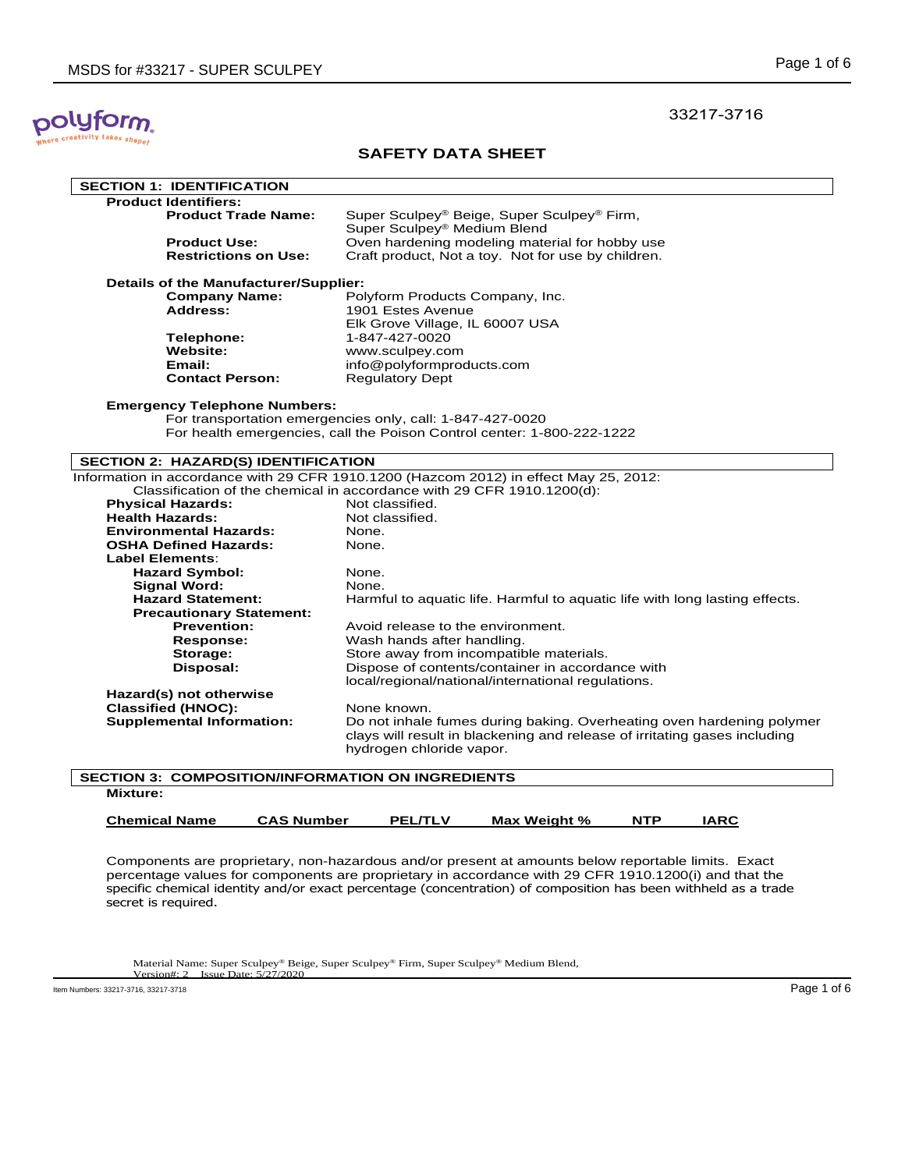# polyform. takes shape!

## **SAFETY DATA SHEET**

| <b>SECTION 1: IDENTIFICATION</b>                         |                                                                                       |  |  |  |
|----------------------------------------------------------|---------------------------------------------------------------------------------------|--|--|--|
| <b>Product Identifiers:</b>                              |                                                                                       |  |  |  |
| <b>Product Trade Name:</b>                               | Super Sculpey <sup>®</sup> Beige, Super Sculpey <sup>®</sup> Firm,                    |  |  |  |
|                                                          | Super Sculpey® Medium Blend                                                           |  |  |  |
| <b>Product Use:</b>                                      | Oven hardening modeling material for hobby use                                        |  |  |  |
| <b>Restrictions on Use:</b>                              | Craft product, Not a toy. Not for use by children.                                    |  |  |  |
|                                                          |                                                                                       |  |  |  |
| Details of the Manufacturer/Supplier:                    |                                                                                       |  |  |  |
| <b>Company Name:</b>                                     | Polyform Products Company, Inc.                                                       |  |  |  |
| Address:                                                 | 1901 Estes Avenue                                                                     |  |  |  |
|                                                          | Elk Grove Village, IL 60007 USA                                                       |  |  |  |
| Telephone:                                               | 1-847-427-0020                                                                        |  |  |  |
| <b>Website:</b>                                          | www.sculpey.com                                                                       |  |  |  |
| Email:                                                   | info@polyformproducts.com                                                             |  |  |  |
| <b>Contact Person:</b>                                   | <b>Regulatory Dept</b>                                                                |  |  |  |
|                                                          |                                                                                       |  |  |  |
| <b>Emergency Telephone Numbers:</b>                      |                                                                                       |  |  |  |
|                                                          | For transportation emergencies only, call: 1-847-427-0020                             |  |  |  |
|                                                          | For health emergencies, call the Poison Control center: 1-800-222-1222                |  |  |  |
|                                                          |                                                                                       |  |  |  |
| SECTION 2: HAZARD(S) IDENTIFICATION                      |                                                                                       |  |  |  |
|                                                          | Information in accordance with 29 CFR 1910.1200 (Hazcom 2012) in effect May 25, 2012: |  |  |  |
|                                                          | Classification of the chemical in accordance with 29 CFR 1910.1200(d):                |  |  |  |
| <b>Physical Hazards:</b>                                 | Not classified.                                                                       |  |  |  |
| <b>Health Hazards:</b>                                   | Not classified.                                                                       |  |  |  |
| <b>Environmental Hazards:</b>                            | None.                                                                                 |  |  |  |
| <b>OSHA Defined Hazards:</b>                             | None.                                                                                 |  |  |  |
| <b>Label Elements:</b>                                   |                                                                                       |  |  |  |
| <b>Hazard Symbol:</b>                                    | None.                                                                                 |  |  |  |
| <b>Signal Word:</b>                                      | None.                                                                                 |  |  |  |
| <b>Hazard Statement:</b>                                 | Harmful to aquatic life. Harmful to aquatic life with long lasting effects.           |  |  |  |
| <b>Precautionary Statement:</b>                          |                                                                                       |  |  |  |
| <b>Prevention:</b>                                       | Avoid release to the environment.                                                     |  |  |  |
| <b>Response:</b>                                         | Wash hands after handling.                                                            |  |  |  |
| Storage:                                                 | Store away from incompatible materials.                                               |  |  |  |
| Disposal:                                                | Dispose of contents/container in accordance with                                      |  |  |  |
|                                                          | local/regional/national/international regulations.                                    |  |  |  |
| Hazard(s) not otherwise                                  |                                                                                       |  |  |  |
| <b>Classified (HNOC):</b>                                | None known.                                                                           |  |  |  |
| <b>Supplemental Information:</b>                         | Do not inhale fumes during baking. Overheating oven hardening polymer                 |  |  |  |
|                                                          | clays will result in blackening and release of irritating gases including             |  |  |  |
|                                                          | hydrogen chloride vapor.                                                              |  |  |  |
|                                                          |                                                                                       |  |  |  |
| <b>SECTION 3: COMPOSITION/INFORMATION ON INGREDIENTS</b> |                                                                                       |  |  |  |
| <b>BRIDGET</b>                                           |                                                                                       |  |  |  |

| <b>Mixture:</b>      |                   |                |              |            |      |  |
|----------------------|-------------------|----------------|--------------|------------|------|--|
| <b>Chemical Name</b> | <b>CAS Number</b> | <b>PEL/TLV</b> | Max Weight % | <b>NTP</b> | IARC |  |

Components are proprietary, non-hazardous and/or present at amounts below reportable limits. Exact percentage values for components are proprietary in accordance with 29 CFR 1910.1200(i) and that the specific chemical identity and/or exact percentage (concentration) of composition has been withheld as a trade secret is required.

Material Name: Super Sculpey® Beige, Super Sculpey® Firm, Super Sculpey® Medium Blend, Version#: 2 Issue Date: 5/27/2020

Item Numbers: 33217-3716, 33217-3718 Page 1 of 6

33217-3716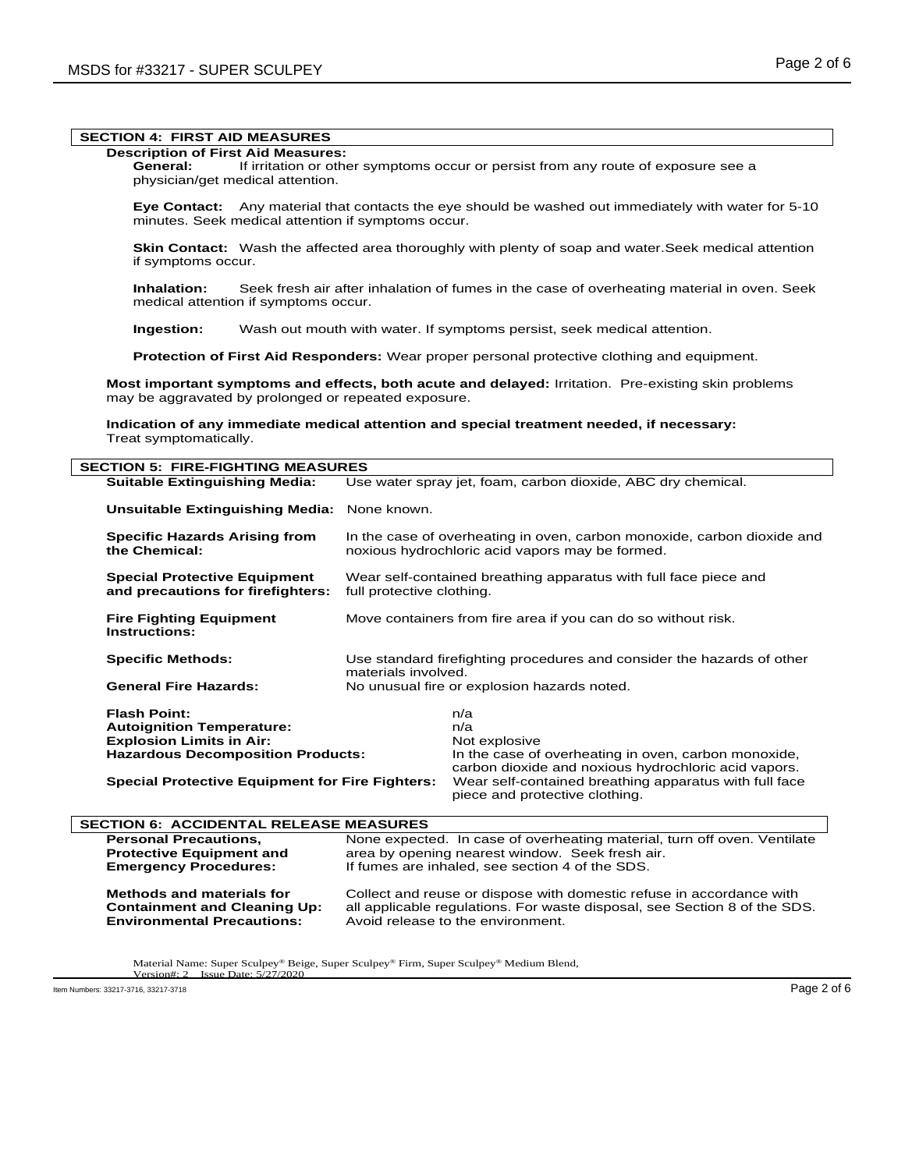## **SECTION 4: FIRST AID MEASURES**

#### **Description of First Aid Measures:**

**General:** If irritation or other symptoms occur or persist from any route of exposure see a physician/get medical attention.

**Eye Contact:** Any material that contacts the eye should be washed out immediately with water for 5-10 minutes. Seek medical attention if symptoms occur.

**Skin Contact:** Wash the affected area thoroughly with plenty of soap and water.Seek medical attention if symptoms occur.

**Inhalation:** Seek fresh air after inhalation of fumes in the case of overheating material in oven. Seek medical attention if symptoms occur.

**Ingestion:** Wash out mouth with water. If symptoms persist, seek medical attention.

**Protection of First Aid Responders:** Wear proper personal protective clothing and equipment.

**Most important symptoms and effects, both acute and delayed:** Irritation. Pre-existing skin problems may be aggravated by prolonged or repeated exposure.

**Indication of any immediate medical attention and special treatment needed, if necessary:** Treat symptomatically.

| <b>SECTION 5: FIRE-FIGHTING MEASURES</b>                                 |                                                                                                                            |                                                                                                              |  |  |
|--------------------------------------------------------------------------|----------------------------------------------------------------------------------------------------------------------------|--------------------------------------------------------------------------------------------------------------|--|--|
| <b>Suitable Extinguishing Media:</b>                                     | Use water spray jet, foam, carbon dioxide, ABC dry chemical.                                                               |                                                                                                              |  |  |
| <b>Unsuitable Extinguishing Media:</b>                                   | None known.                                                                                                                |                                                                                                              |  |  |
| <b>Specific Hazards Arising from</b><br>the Chemical:                    | In the case of overheating in oven, carbon monoxide, carbon dioxide and<br>noxious hydrochloric acid vapors may be formed. |                                                                                                              |  |  |
| <b>Special Protective Equipment</b><br>and precautions for firefighters: | Wear self-contained breathing apparatus with full face piece and<br>full protective clothing.                              |                                                                                                              |  |  |
| <b>Fire Fighting Equipment</b><br>Instructions:                          | Move containers from fire area if you can do so without risk.                                                              |                                                                                                              |  |  |
| <b>Specific Methods:</b>                                                 | Use standard firefighting procedures and consider the hazards of other<br>materials involved.                              |                                                                                                              |  |  |
| <b>General Fire Hazards:</b>                                             | No unusual fire or explosion hazards noted.                                                                                |                                                                                                              |  |  |
| <b>Flash Point:</b>                                                      |                                                                                                                            | n/a                                                                                                          |  |  |
| <b>Autoignition Temperature:</b>                                         |                                                                                                                            | n/a                                                                                                          |  |  |
| <b>Explosion Limits in Air:</b>                                          |                                                                                                                            | Not explosive                                                                                                |  |  |
| <b>Hazardous Decomposition Products:</b>                                 |                                                                                                                            | In the case of overheating in oven, carbon monoxide,<br>carbon dioxide and noxious hydrochloric acid vapors. |  |  |
| <b>Special Protective Equipment for Fire Fighters:</b>                   |                                                                                                                            | Wear self-contained breathing apparatus with full face<br>piece and protective clothing.                     |  |  |
| <b>SECTION 6: ACCIDENTAL RELEASE MEASURES</b>                            |                                                                                                                            |                                                                                                              |  |  |

**Personal Precautions, Subsetional Precautions, None expected. In case of overheating material, turn off oven. Ventilate Protective Equipment and** area by opening nearest window. Seek fresh air.<br>**Emergency Procedures:** If fumes are inhaled, see section 4 of the SDS. If fumes are inhaled, see section 4 of the SDS. **Methods and materials for** Collect and reuse or dispose with domestic refuse in accordance with **Containment and Cleaning Up:** all applicable regulations. For waste disposal, see Section 8 of the SD **Containment and Cleaning Up:** all applicable regulations. For waste disposal, see Section 8 of the SDS.<br>**Environmental Precautions:** Avoid release to the environment. Avoid release to the environment.

Material Name: Super Sculpey® Beige, Super Sculpey® Firm, Super Sculpey® Medium Blend, Version#: 2 Issue Date: 5/27/2020 Issue Date: 5

Item Numbers: 33217-3716, 33217-3718 Page 2 of 6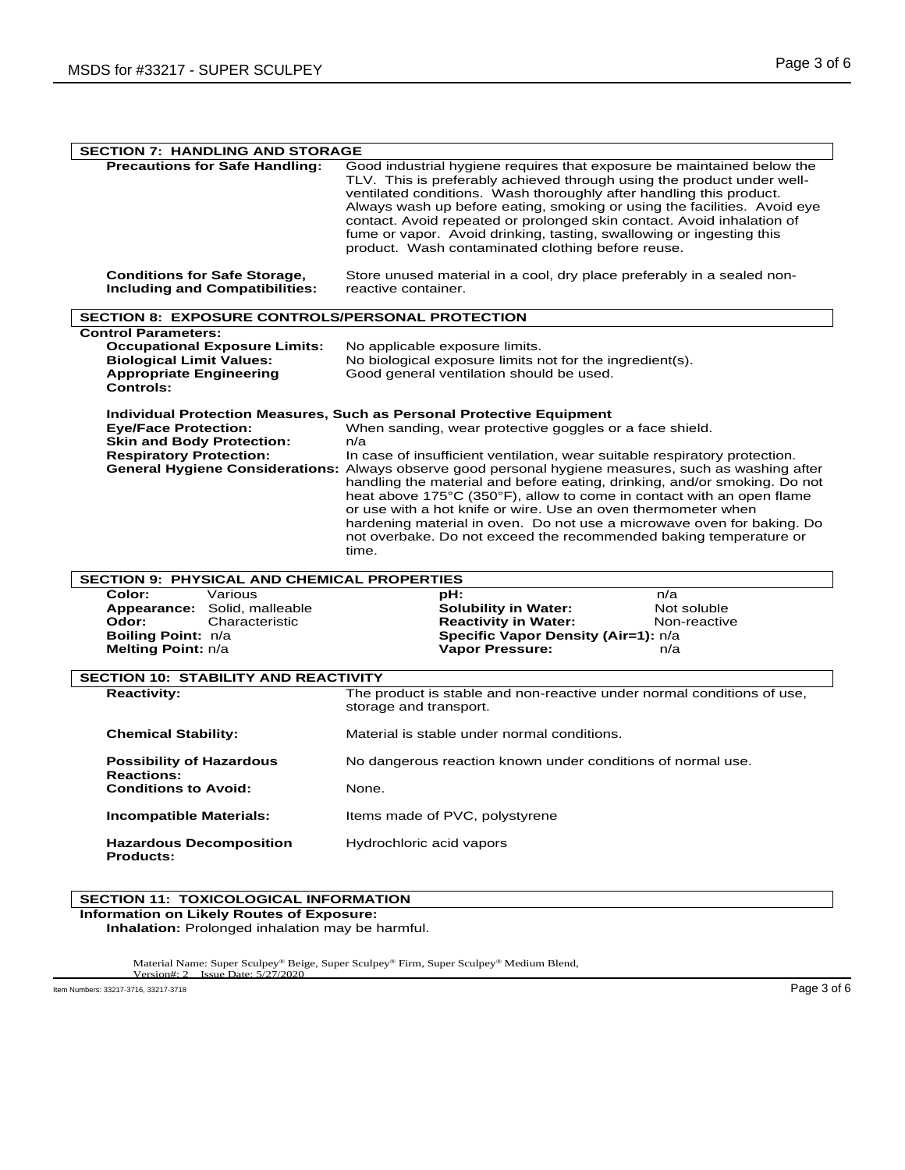| <b>SECTION 7: HANDLING AND STORAGE</b>                                                                                                                      |                                                                                                                                                                                                                                                                                                                                                                                                                                                                                                                                                                                                                                                                                                              |  |  |  |
|-------------------------------------------------------------------------------------------------------------------------------------------------------------|--------------------------------------------------------------------------------------------------------------------------------------------------------------------------------------------------------------------------------------------------------------------------------------------------------------------------------------------------------------------------------------------------------------------------------------------------------------------------------------------------------------------------------------------------------------------------------------------------------------------------------------------------------------------------------------------------------------|--|--|--|
| <b>Precautions for Safe Handling:</b>                                                                                                                       | Good industrial hygiene requires that exposure be maintained below the<br>TLV. This is preferably achieved through using the product under well-<br>ventilated conditions. Wash thoroughly after handling this product.<br>Always wash up before eating, smoking or using the facilities. Avoid eye<br>contact. Avoid repeated or prolonged skin contact. Avoid inhalation of<br>fume or vapor. Avoid drinking, tasting, swallowing or ingesting this<br>product. Wash contaminated clothing before reuse.                                                                                                                                                                                                   |  |  |  |
| <b>Conditions for Safe Storage,</b><br><b>Including and Compatibilities:</b>                                                                                | Store unused material in a cool, dry place preferably in a sealed non-<br>reactive container.                                                                                                                                                                                                                                                                                                                                                                                                                                                                                                                                                                                                                |  |  |  |
| <b>SECTION 8: EXPOSURE CONTROLS/PERSONAL PROTECTION</b>                                                                                                     |                                                                                                                                                                                                                                                                                                                                                                                                                                                                                                                                                                                                                                                                                                              |  |  |  |
| <b>Control Parameters:</b><br><b>Occupational Exposure Limits:</b><br><b>Biological Limit Values:</b><br><b>Appropriate Engineering</b><br><b>Controls:</b> | No applicable exposure limits.<br>No biological exposure limits not for the ingredient(s).<br>Good general ventilation should be used.                                                                                                                                                                                                                                                                                                                                                                                                                                                                                                                                                                       |  |  |  |
| <b>Eye/Face Protection:</b><br><b>Skin and Body Protection:</b><br><b>Respiratory Protection:</b>                                                           | Individual Protection Measures, Such as Personal Protective Equipment<br>When sanding, wear protective goggles or a face shield.<br>n/a<br>In case of insufficient ventilation, wear suitable respiratory protection.<br>General Hygiene Considerations: Always observe good personal hygiene measures, such as washing after<br>handling the material and before eating, drinking, and/or smoking. Do not<br>heat above 175°C (350°F), allow to come in contact with an open flame<br>or use with a hot knife or wire. Use an oven thermometer when<br>hardening material in oven. Do not use a microwave oven for baking. Do<br>not overbake. Do not exceed the recommended baking temperature or<br>time. |  |  |  |
| SECTION 9: PHYSICAL AND CHEMICAL PROPERTIES                                                                                                                 |                                                                                                                                                                                                                                                                                                                                                                                                                                                                                                                                                                                                                                                                                                              |  |  |  |
| Color:<br>Various<br>Appearance: Solid, malleable<br>Odor:<br>Characteristic<br>Boiling Point: n/a<br>Melting Point: n/a                                    | <b>pH:</b><br>n/a<br><b>Solubility in Water:</b><br>Not soluble<br><b>Reactivity in Water:</b><br>Non-reactive<br>Specific Vapor Density (Air=1): n/a<br><b>Vapor Pressure:</b><br>n/a                                                                                                                                                                                                                                                                                                                                                                                                                                                                                                                       |  |  |  |
| <b>SECTION 10: STABILITY AND REACTIVITY</b>                                                                                                                 |                                                                                                                                                                                                                                                                                                                                                                                                                                                                                                                                                                                                                                                                                                              |  |  |  |
| <b>Reactivity:</b>                                                                                                                                          | The product is stable and non-reactive under normal conditions of use,<br>storage and transport.                                                                                                                                                                                                                                                                                                                                                                                                                                                                                                                                                                                                             |  |  |  |
| <b>Chemical Stability:</b>                                                                                                                                  | Material is stable under normal conditions.                                                                                                                                                                                                                                                                                                                                                                                                                                                                                                                                                                                                                                                                  |  |  |  |
| <b>Possibility of Hazardous</b><br><b>Reactions:</b><br><b>Conditions to Avoid:</b>                                                                         | No dangerous reaction known under conditions of normal use.                                                                                                                                                                                                                                                                                                                                                                                                                                                                                                                                                                                                                                                  |  |  |  |
| <b>Incompatible Materials:</b>                                                                                                                              | None.<br>Items made of PVC, polystyrene                                                                                                                                                                                                                                                                                                                                                                                                                                                                                                                                                                                                                                                                      |  |  |  |
| <b>Hazardous Decomposition</b><br><b>Products:</b>                                                                                                          | Hydrochloric acid vapors                                                                                                                                                                                                                                                                                                                                                                                                                                                                                                                                                                                                                                                                                     |  |  |  |

## **SECTION 11: TOXICOLOGICAL INFORMATION**

**Information on Likely Routes of Exposure: Inhalation:** Prolonged inhalation may be harmful.

Material Name: Super Sculpey® Beige, Super Sculpey® Firm, Super Sculpey® Medium Blend, Version#: 2 Issue Date: 5/27/2020

Item Numbers: 33217-3716, 33217-3718 Page 3 of 6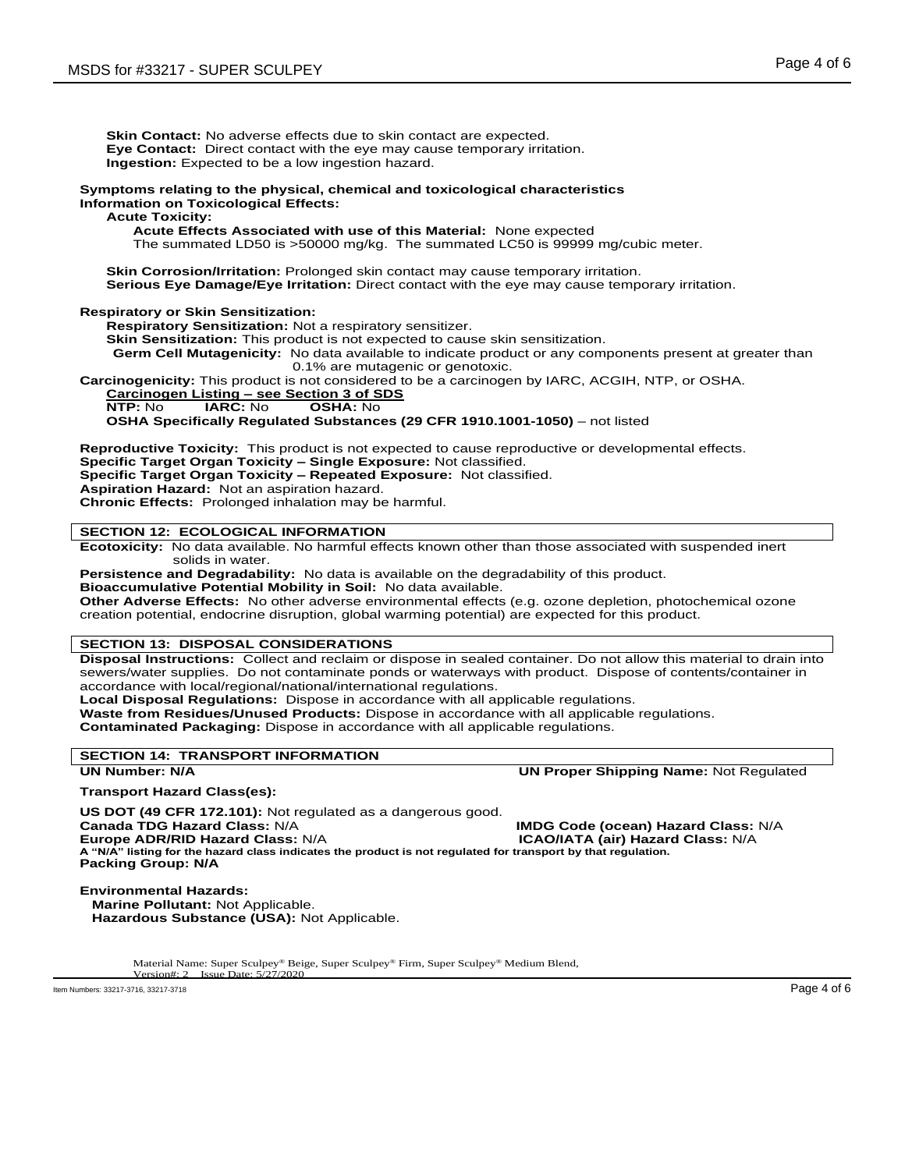**Skin Contact:** No adverse effects due to skin contact are expected. **Eye Contact:** Direct contact with the eye may cause temporary irritation. **Ingestion:** Expected to be a low ingestion hazard.

#### **Symptoms relating to the physical, chemical and toxicological characteristics Information on Toxicological Effects:**

### **Acute Toxicity:**

**Acute Effects Associated with use of this Material:** None expected

The summated LD50 is >50000 mg/kg. The summated LC50 is 99999 mg/cubic meter.

**Skin Corrosion/Irritation:** Prolonged skin contact may cause temporary irritation. **Serious Eye Damage/Eye Irritation:** Direct contact with the eye may cause temporary irritation.

### **Respiratory or Skin Sensitization:**

**Respiratory Sensitization:** Not a respiratory sensitizer.

**Skin Sensitization:** This product is not expected to cause skin sensitization.

**Germ Cell Mutagenicity:** No data available to indicate product or any components present at greater than 0.1% are mutagenic or genotoxic.

**Carcinogenicity:** This product is not considered to be a carcinogen by IARC, ACGIH, NTP, or OSHA.

**Carcinogen Listing – see Section 3 of SDS**

**NTP:** No **IARC:** No **OSHA:** No

**OSHA Specifically Regulated Substances (29 CFR 1910.1001-1050)** – not listed

**Reproductive Toxicity:** This product is not expected to cause reproductive or developmental effects. **Specific Target Organ Toxicity – Single Exposure:** Not classified.

**Specific Target Organ Toxicity – Repeated Exposure:** Not classified.

**Aspiration Hazard:** Not an aspiration hazard.

**Chronic Effects:** Prolonged inhalation may be harmful.

## **SECTION 12: ECOLOGICAL INFORMATION**

**Ecotoxicity:** No data available. No harmful effects known other than those associated with suspended inert solids in water.

**Persistence and Degradability:** No data is available on the degradability of this product.

**Bioaccumulative Potential Mobility in Soil:** No data available.

**Other Adverse Effects:** No other adverse environmental effects (e.g. ozone depletion, photochemical ozone creation potential, endocrine disruption, global warming potential) are expected for this product.

### **SECTION 13: DISPOSAL CONSIDERATIONS**

**Disposal Instructions:** Collect and reclaim or dispose in sealed container. Do not allow this material to drain into sewers/water supplies. Do not contaminate ponds or waterways with product. Dispose of contents/container in accordance with local/regional/national/international regulations.

**Local Disposal Regulations:** Dispose in accordance with all applicable regulations.

**Waste from Residues/Unused Products:** Dispose in accordance with all applicable regulations.

**Contaminated Packaging:** Dispose in accordance with all applicable regulations.

### **SECTION 14: TRANSPORT INFORMATION**

#### **UN Number: N/A UN Proper Shipping Name:** Not Regulated

**Transport Hazard Class(es):**

**US DOT (49 CFR 172.101):** Not regulated as a dangerous good.

**Europe ADR/RID Hazard Class: N/A** 

**IMDG Code (ocean) Hazard Class: N/A <b>ICAO/IATA (air) Hazard Class: N/A** 

**A "N/A" listing for the hazard class indicates the product is not regulated for transport by that regulation. Packing Group: N/A**

**Environmental Hazards: Marine Pollutant:** Not Applicable.

 **Hazardous Substance (USA):** Not Applicable.

Material Name: Super Sculpey® Beige, Super Sculpey® Firm, Super Sculpey® Medium Blend, Version#: 2 Issue Date: 5/27/2020 ersion#: 2 Issue Date

Item Numbers: 33217-3716, 33217-3718 Page 4 of 6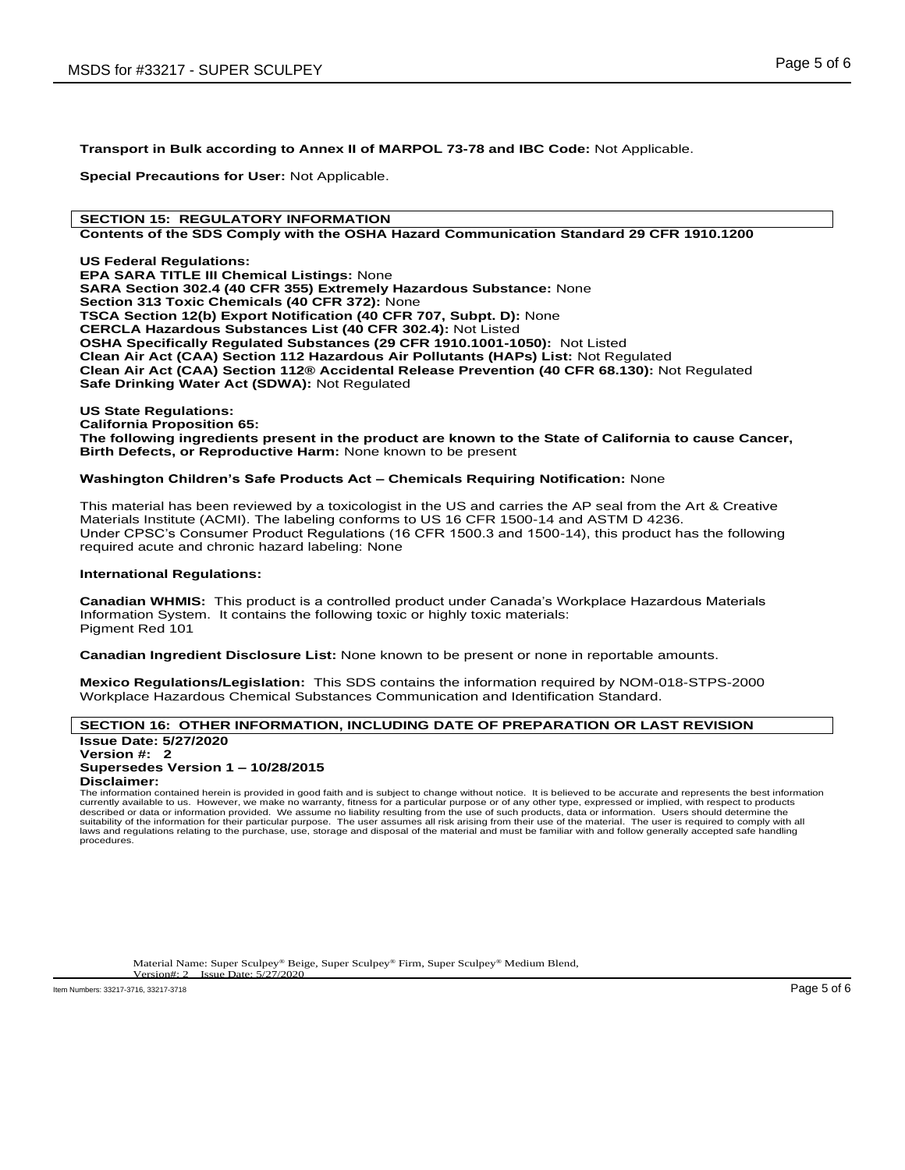**Transport in Bulk according to Annex II of MARPOL 73-78 and IBC Code:** Not Applicable.

**Special Precautions for User:** Not Applicable.

## **SECTION 15: REGULATORY INFORMATION**

## **Contents of the SDS Comply with the OSHA Hazard Communication Standard 29 CFR 1910.1200**

**US Federal Regulations: EPA SARA TITLE III Chemical Listings:** None **SARA Section 302.4 (40 CFR 355) Extremely Hazardous Substance:** None **Section 313 Toxic Chemicals (40 CFR 372):** None **TSCA Section 12(b) Export Notification (40 CFR 707, Subpt. D):** None **CERCLA Hazardous Substances List (40 CFR 302.4):** Not Listed **OSHA Specifically Regulated Substances (29 CFR 1910.1001-1050):** Not Listed **Clean Air Act (CAA) Section 112 Hazardous Air Pollutants (HAPs) List:** Not Regulated **Clean Air Act (CAA) Section 112® Accidental Release Prevention (40 CFR 68.130):** Not Regulated **Safe Drinking Water Act (SDWA):** Not Regulated

**US State Regulations: California Proposition 65: The following ingredients present in the product are known to the State of California to cause Cancer, Birth Defects, or Reproductive Harm:** None known to be present

#### **Washington Children's Safe Products Act – Chemicals Requiring Notification:** None

This material has been reviewed by a toxicologist in the US and carries the AP seal from the Art & Creative Materials Institute (ACMI). The labeling conforms to US 16 CFR 1500-14 and ASTM D 4236. Under CPSC's Consumer Product Regulations (16 CFR 1500.3 and 1500-14), this product has the following required acute and chronic hazard labeling: None

#### **International Regulations:**

**Canadian WHMIS:** This product is a controlled product under Canada's Workplace Hazardous Materials Information System. It contains the following toxic or highly toxic materials: Pigment Red 101

**Canadian Ingredient Disclosure List:** None known to be present or none in reportable amounts.

**Mexico Regulations/Legislation:** This SDS contains the information required by NOM-018-STPS-2000 Workplace Hazardous Chemical Substances Communication and Identification Standard.

# **SECTION 16: OTHER INFORMATION, INCLUDING DATE OF PREPARATION OR LAST REVISION**

**Issue Date: 5/27/2020 Version #: 2 Supersedes Version 1 – 10/28/2015 Disclaimer:**

The information contained herein is provided in good faith and is subject to change without notice. It is believed to be accurate and represents the best information<br>currently available to us. However, we make no warranty, described or data or information provided. We assume no liability resulting from the use of such products, data or information. Users should determine the<br>suitability of the information for their particular purpose. The us laws and regulations relating to the purchase, use, storage and disposal of the material and must be familiar with and follow generally accepted safe handling procedures.

Material Name: Super Sculpey® Beige, Super Sculpey® Firm, Super Sculpey® Medium Blend, Version#: 2 Issue Date: 5/27/2020 Issue Date: 5

Item Numbers: 33217-3716, 33217-3718 Page 5 of 6